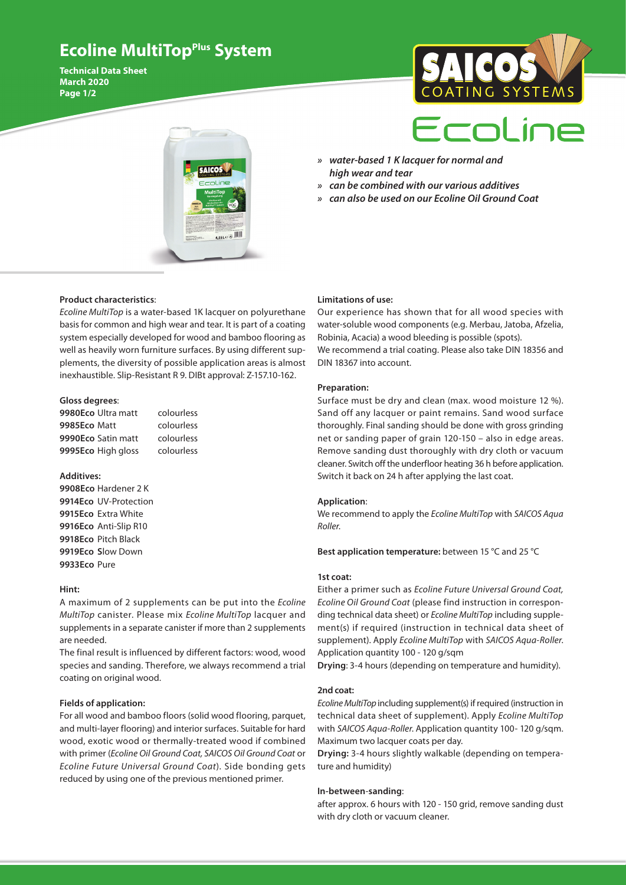## **Ecoline MultiTopPlus System**

**Technical Data Sheet March 2020 Page 1/2**





- *» water-based 1 K lacquer for normal and high wear and tear*
- *» can be combined with our various additives*
- *» can also be used on our Ecoline Oil Ground Coat*

## **Product characteristics**:

*Ecoline MultiTop* is a water-based 1K lacquer on polyurethane basis for common and high wear and tear. It is part of a coating system especially developed for wood and bamboo flooring as well as heavily worn furniture surfaces. By using different supplements, the diversity of possible application areas is almost inexhaustible. Slip-Resistant R 9. DIBt approval: Z-157.10-162.

#### **Gloss degrees**:

**9980Eco** Ultra matt colourless **9985Eco** Matt colourless **9990Eco** Satin matt colourless **9995Eco** High gloss colourless

## **Additives:**

**9908Eco** Hardener 2 K **9914Eco** UV-Protection **9915Eco** Extra White **9916Eco** Anti-Slip R10 **9918Eco** Pitch Black **9919Eco S**low Down **9933Eco** Pure

#### **Hint:**

A maximum of 2 supplements can be put into the *Ecoline MultiTop* canister. Please mix *Ecoline MultiTop* lacquer and supplements in a separate canister if more than 2 supplements are needed.

The final result is influenced by different factors: wood, wood species and sanding. Therefore, we always recommend a trial coating on original wood.

## **Fields of application:**

For all wood and bamboo floors (solid wood flooring, parquet, and multi-layer flooring) and interior surfaces. Suitable for hard wood, exotic wood or thermally-treated wood if combined with primer (*Ecoline Oil Ground Coat, SAICOS Oil Ground Coat* or *Ecoline Future Universal Ground Coat*). Side bonding gets reduced by using one of the previous mentioned primer.

#### **Limitations of use:**

Our experience has shown that for all wood species with water-soluble wood components (e.g. Merbau, Jatoba, Afzelia, Robinia, Acacia) a wood bleeding is possible (spots). We recommend a trial coating. Please also take DIN 18356 and DIN 18367 into account.

#### **Preparation:**

Surface must be dry and clean (max. wood moisture 12 %). Sand off any lacquer or paint remains. Sand wood surface thoroughly. Final sanding should be done with gross grinding net or sanding paper of grain 120-150 – also in edge areas. Remove sanding dust thoroughly with dry cloth or vacuum cleaner. Switch off the underfloor heating 36 h before application. Switch it back on 24 h after applying the last coat.

## **Application**:

We recommend to apply the *Ecoline MultiTop* with *SAICOS Aqua Roller*.

**Best application temperature:** between 15 °C and 25 °C

#### **1st coat:**

Either a primer such as *Ecoline Future Universal Ground Coat, Ecoline Oil Ground Coat* (please find instruction in corresponding technical data sheet) or *Ecoline MultiTop* including supplement(s) if required (instruction in technical data sheet of supplement). Apply *Ecoline MultiTop* with *SAICOS Aqua-Roller*. Application quantity 100 - 120 g/sqm

**Drying**: 3-4 hours (depending on temperature and humidity).

## **2nd coat:**

*Ecoline MultiTop* including supplement(s) if required (instruction in technical data sheet of supplement). Apply *Ecoline MultiTop* with *SAICOS Aqua-Roller*. Application quantity 100- 120 g/sqm. Maximum two lacquer coats per day.

**Drying:** 3-4 hours slightly walkable (depending on temperature and humidity)

#### **In-between**-**sanding**:

after approx. 6 hours with 120 - 150 grid, remove sanding dust with dry cloth or vacuum cleaner.